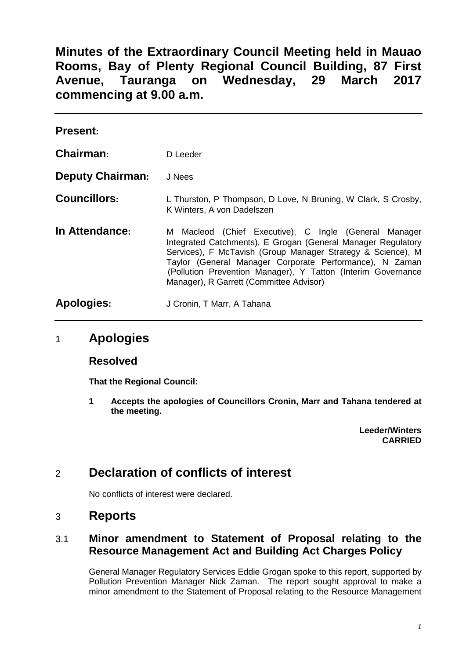**Minutes of the Extraordinary Council Meeting held in Mauao Rooms, Bay of Plenty Regional Council Building, 87 First Avenue, Tauranga on Wednesday, 29 March 2017 commencing at 9.00 a.m.**

| <b>Present:</b>         |                                                                                                                                                                                                                                                                                                                                                               |
|-------------------------|---------------------------------------------------------------------------------------------------------------------------------------------------------------------------------------------------------------------------------------------------------------------------------------------------------------------------------------------------------------|
| Chairman:               | D Leeder                                                                                                                                                                                                                                                                                                                                                      |
| <b>Deputy Chairman:</b> | J Nees                                                                                                                                                                                                                                                                                                                                                        |
| <b>Councillors:</b>     | L Thurston, P Thompson, D Love, N Bruning, W Clark, S Crosby,<br>K Winters, A von Dadelszen                                                                                                                                                                                                                                                                   |
| In Attendance:          | Macleod (Chief Executive), C Ingle (General Manager<br>M<br>Integrated Catchments), E Grogan (General Manager Regulatory<br>Services), F McTavish (Group Manager Strategy & Science), M<br>Taylor (General Manager Corporate Performance), N Zaman<br>(Pollution Prevention Manager), Y Tatton (Interim Governance<br>Manager), R Garrett (Committee Advisor) |
| Apologies:              | J Cronin, T Marr, A Tahana                                                                                                                                                                                                                                                                                                                                    |

## 1 **Apologies**

#### **Resolved**

**That the Regional Council:**

**1 Accepts the apologies of Councillors Cronin, Marr and Tahana tendered at the meeting.**

> **Leeder/Winters CARRIED**

# 2 **Declaration of conflicts of interest**

No conflicts of interest were declared.

## 3 **Reports**

### 3.1 **Minor amendment to Statement of Proposal relating to the Resource Management Act and Building Act Charges Policy**

General Manager Regulatory Services Eddie Grogan spoke to this report, supported by Pollution Prevention Manager Nick Zaman. The report sought approval to make a minor amendment to the Statement of Proposal relating to the Resource Management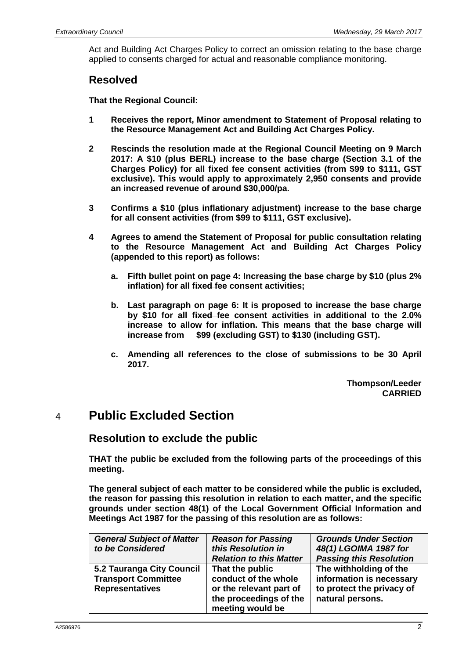Act and Building Act Charges Policy to correct an omission relating to the base charge applied to consents charged for actual and reasonable compliance monitoring.

### **Resolved**

**That the Regional Council:**

- **1 Receives the report, Minor amendment to Statement of Proposal relating to the Resource Management Act and Building Act Charges Policy.**
- **2 Rescinds the resolution made at the Regional Council Meeting on 9 March 2017: A \$10 (plus BERL) increase to the base charge (Section 3.1 of the Charges Policy) for all fixed fee consent activities (from \$99 to \$111, GST exclusive). This would apply to approximately 2,950 consents and provide an increased revenue of around \$30,000/pa.**
- **3 Confirms a \$10 (plus inflationary adjustment) increase to the base charge for all consent activities (from \$99 to \$111, GST exclusive).**
- **4 Agrees to amend the Statement of Proposal for public consultation relating to the Resource Management Act and Building Act Charges Policy (appended to this report) as follows:**
	- **a. Fifth bullet point on page 4: Increasing the base charge by \$10 (plus 2% inflation) for all fixed fee consent activities;**
	- **b. Last paragraph on page 6: It is proposed to increase the base charge by \$10 for all fixed fee consent activities in additional to the 2.0% increase to allow for inflation. This means that the base charge will**  \$99 (excluding GST) to \$130 (including GST).
	- **c. Amending all references to the close of submissions to be 30 April 2017.**

**Thompson/Leeder CARRIED**

# 4 **Public Excluded Section**

## **Resolution to exclude the public**

**THAT the public be excluded from the following parts of the proceedings of this meeting.**

**The general subject of each matter to be considered while the public is excluded, the reason for passing this resolution in relation to each matter, and the specific grounds under section 48(1) of the Local Government Official Information and Meetings Act 1987 for the passing of this resolution are as follows:**

| <b>General Subject of Matter</b><br>to be Considered                              | <b>Reason for Passing</b><br>this Resolution in<br><b>Relation to this Matter</b>                                | <b>Grounds Under Section</b><br>48(1) LGOIMA 1987 for<br><b>Passing this Resolution</b>             |
|-----------------------------------------------------------------------------------|------------------------------------------------------------------------------------------------------------------|-----------------------------------------------------------------------------------------------------|
| 5.2 Tauranga City Council<br><b>Transport Committee</b><br><b>Representatives</b> | That the public<br>conduct of the whole<br>or the relevant part of<br>the proceedings of the<br>meeting would be | The withholding of the<br>information is necessary<br>to protect the privacy of<br>natural persons. |